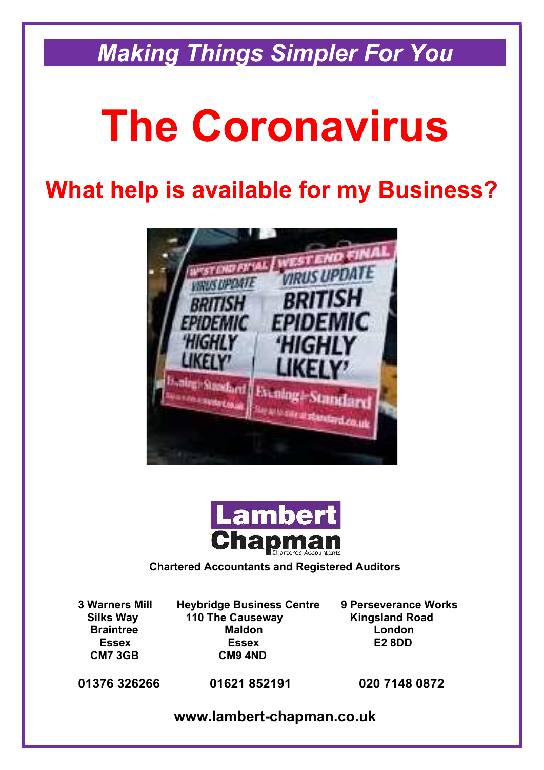**Making Things Simpler For You** 

# **The Coronavirus**

# **What help is available for my Business?**





# **Chartered Accountants and Registered Auditors**

**3 Warners Mill Heybridge Business Centre 9 Perseverance Works Silks Way 110 The Causeway 6 and Kingsland Road Braintree Maldon Maldon** London  **Essex Essex E2 8DD CM7 3GB CM9 4ND**

**01376 326266 01621 852191 020 7148 0872**

**www.lambert-chapman.co.uk**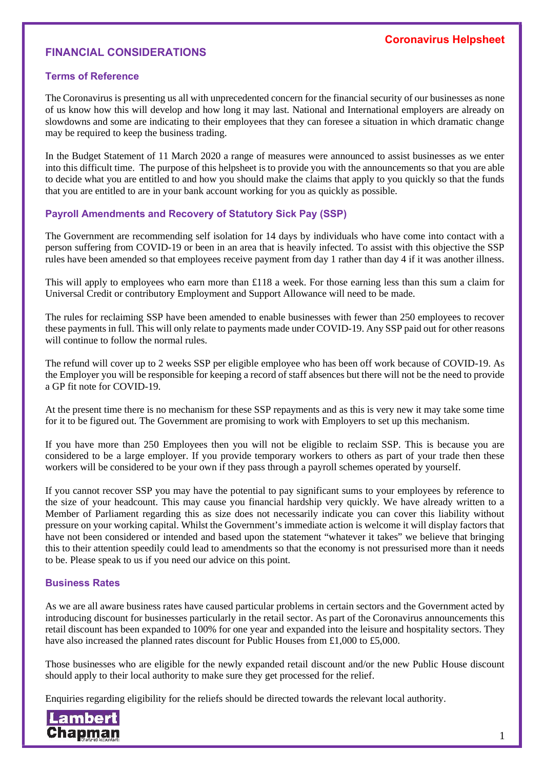# **FINANCIAL CONSIDERATIONS**

# **Terms of Reference**

The Coronavirus is presenting us all with unprecedented concern for the financial security of our businesses as none of us know how this will develop and how long it may last. National and International employers are already on slowdowns and some are indicating to their employees that they can foresee a situation in which dramatic change may be required to keep the business trading.

In the Budget Statement of 11 March 2020 a range of measures were announced to assist businesses as we enter into this difficult time. The purpose of this helpsheet is to provide you with the announcements so that you are able to decide what you are entitled to and how you should make the claims that apply to you quickly so that the funds that you are entitled to are in your bank account working for you as quickly as possible.

# **Payroll Amendments and Recovery of Statutory Sick Pay (SSP)**

The Government are recommending self isolation for 14 days by individuals who have come into contact with a person suffering from COVID-19 or been in an area that is heavily infected. To assist with this objective the SSP rules have been amended so that employees receive payment from day 1 rather than day 4 if it was another illness.

This will apply to employees who earn more than £118 a week. For those earning less than this sum a claim for Universal Credit or contributory Employment and Support Allowance will need to be made.

The rules for reclaiming SSP have been amended to enable businesses with fewer than 250 employees to recover these payments in full. This will only relate to payments made under COVID-19. Any SSP paid out for other reasons will continue to follow the normal rules.

The refund will cover up to 2 weeks SSP per eligible employee who has been off work because of COVID-19. As the Employer you will be responsible for keeping a record of staff absences but there will not be the need to provide a GP fit note for COVID-19.

At the present time there is no mechanism for these SSP repayments and as this is very new it may take some time for it to be figured out. The Government are promising to work with Employers to set up this mechanism.

If you have more than 250 Employees then you will not be eligible to reclaim SSP. This is because you are considered to be a large employer. If you provide temporary workers to others as part of your trade then these workers will be considered to be your own if they pass through a payroll schemes operated by yourself.

If you cannot recover SSP you may have the potential to pay significant sums to your employees by reference to the size of your headcount. This may cause you financial hardship very quickly. We have already written to a Member of Parliament regarding this as size does not necessarily indicate you can cover this liability without pressure on your working capital. Whilst the Government's immediate action is welcome it will display factors that have not been considered or intended and based upon the statement "whatever it takes" we believe that bringing this to their attention speedily could lead to amendments so that the economy is not pressurised more than it needs to be. Please speak to us if you need our advice on this point.

#### **Business Rates**

As we are all aware business rates have caused particular problems in certain sectors and the Government acted by introducing discount for businesses particularly in the retail sector. As part of the Coronavirus announcements this retail discount has been expanded to 100% for one year and expanded into the leisure and hospitality sectors. They have also increased the planned rates discount for Public Houses from £1,000 to £5,000.

Those businesses who are eligible for the newly expanded retail discount and/or the new Public House discount should apply to their local authority to make sure they get processed for the relief.

Enquiries regarding eligibility for the reliefs should be directed towards the relevant local authority.

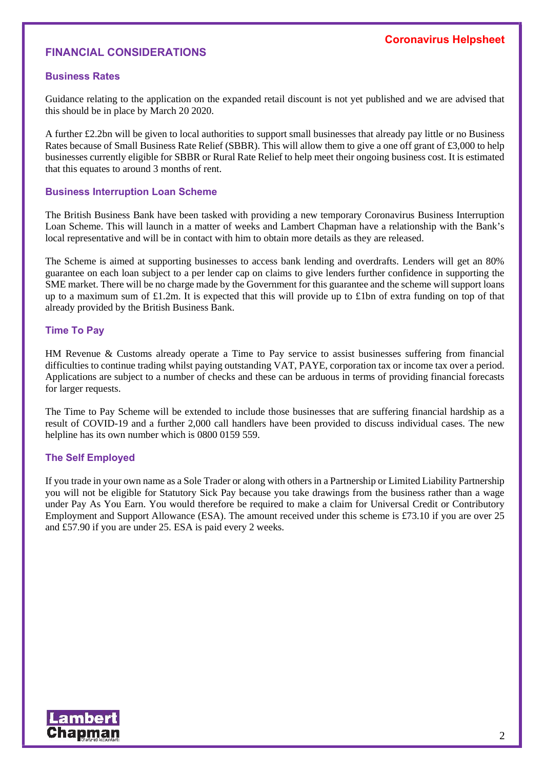# **Coronavirus Helpsheet**

# **FINANCIAL CONSIDERATIONS**

#### **Business Rates**

Guidance relating to the application on the expanded retail discount is not yet published and we are advised that this should be in place by March 20 2020.

A further £2.2bn will be given to local authorities to support small businesses that already pay little or no Business Rates because of Small Business Rate Relief (SBBR). This will allow them to give a one off grant of £3,000 to help businesses currently eligible for SBBR or Rural Rate Relief to help meet their ongoing business cost. It is estimated that this equates to around 3 months of rent.

#### **Business Interruption Loan Scheme**

The British Business Bank have been tasked with providing a new temporary Coronavirus Business Interruption Loan Scheme. This will launch in a matter of weeks and Lambert Chapman have a relationship with the Bank's local representative and will be in contact with him to obtain more details as they are released.

The Scheme is aimed at supporting businesses to access bank lending and overdrafts. Lenders will get an 80% guarantee on each loan subject to a per lender cap on claims to give lenders further confidence in supporting the SME market. There will be no charge made by the Government for this guarantee and the scheme will support loans up to a maximum sum of £1.2m. It is expected that this will provide up to £1bn of extra funding on top of that already provided by the British Business Bank.

#### **Time To Pay**

HM Revenue & Customs already operate a Time to Pay service to assist businesses suffering from financial difficulties to continue trading whilst paying outstanding VAT, PAYE, corporation tax or income tax over a period. Applications are subject to a number of checks and these can be arduous in terms of providing financial forecasts for larger requests.

The Time to Pay Scheme will be extended to include those businesses that are suffering financial hardship as a result of COVID-19 and a further 2,000 call handlers have been provided to discuss individual cases. The new helpline has its own number which is 0800 0159 559.

# **The Self Employed**

If you trade in your own name as a Sole Trader or along with others in a Partnership or Limited Liability Partnership you will not be eligible for Statutory Sick Pay because you take drawings from the business rather than a wage under Pay As You Earn. You would therefore be required to make a claim for Universal Credit or Contributory Employment and Support Allowance (ESA). The amount received under this scheme is £73.10 if you are over 25 and £57.90 if you are under 25. ESA is paid every 2 weeks.